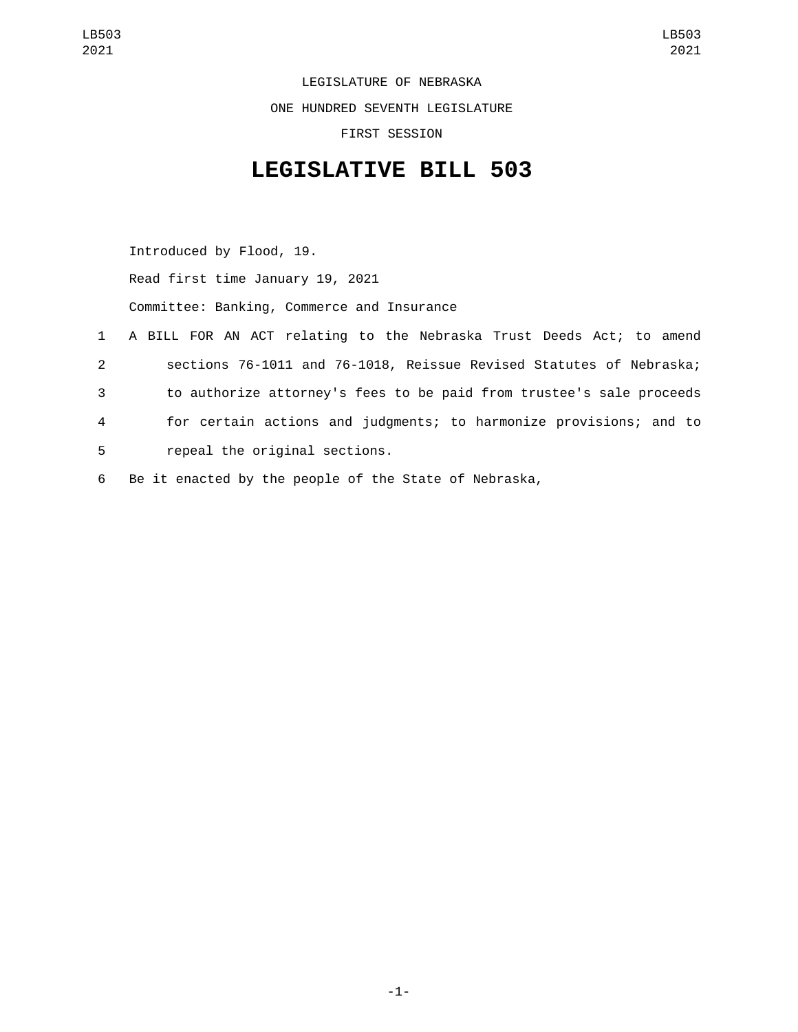LEGISLATURE OF NEBRASKA ONE HUNDRED SEVENTH LEGISLATURE FIRST SESSION

## **LEGISLATIVE BILL 503**

Introduced by Flood, 19. Read first time January 19, 2021 Committee: Banking, Commerce and Insurance 1 A BILL FOR AN ACT relating to the Nebraska Trust Deeds Act; to amend 2 sections 76-1011 and 76-1018, Reissue Revised Statutes of Nebraska; 3 to authorize attorney's fees to be paid from trustee's sale proceeds 4 for certain actions and judgments; to harmonize provisions; and to 5 repeal the original sections. 6 Be it enacted by the people of the State of Nebraska,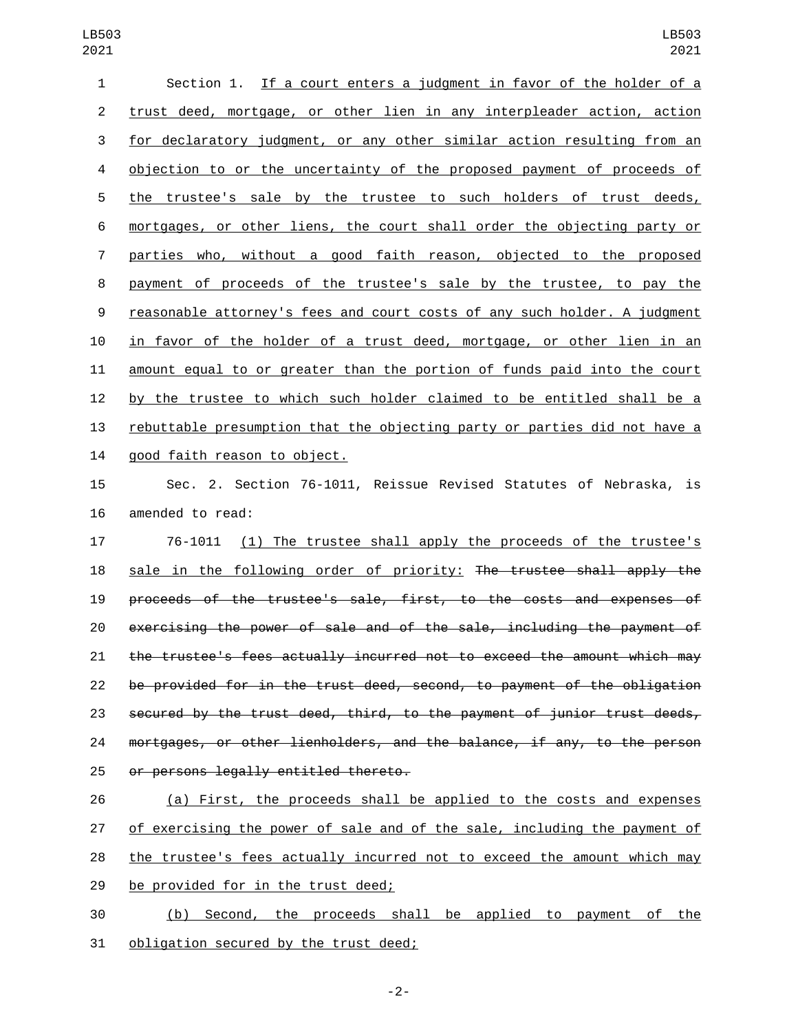| 1              | Section 1. If a court enters a judgment in favor of the holder of a       |
|----------------|---------------------------------------------------------------------------|
| $\overline{2}$ | trust deed, mortgage, or other lien in any interpleader action, action    |
| 3              | for declaratory judgment, or any other similar action resulting from an   |
| 4              | objection to or the uncertainty of the proposed payment of proceeds of    |
| 5              | the trustee's sale by the trustee to such holders of trust deeds,         |
| 6              | mortgages, or other liens, the court shall order the objecting party or   |
| 7              | parties who, without a good faith reason, objected to the proposed        |
| 8              | payment of proceeds of the trustee's sale by the trustee, to pay the      |
| 9              | reasonable attorney's fees and court costs of any such holder. A judgment |
| 10             | in favor of the holder of a trust deed, mortgage, or other lien in an     |
| 11             | amount equal to or greater than the portion of funds paid into the court  |
| 12             | by the trustee to which such holder claimed to be entitled shall be a     |
| 13             | rebuttable presumption that the objecting party or parties did not have a |
| 14             | good faith reason to object.                                              |
| 15             | Sec. 2. Section 76-1011, Reissue Revised Statutes of Nebraska, is         |
| 16             | amended to read:                                                          |

17 76-1011 (1) The trustee shall apply the proceeds of the trustee's sale in the following order of priority: The trustee shall apply the proceeds of the trustee's sale, first, to the costs and expenses of exercising the power of sale and of the sale, including the payment of the trustee's fees actually incurred not to exceed the amount which may be provided for in the trust deed, second, to payment of the obligation secured by the trust deed, third, to the payment of junior trust deeds, mortgages, or other lienholders, and the balance, if any, to the person 25 or persons legally entitled thereto.

 (a) First, the proceeds shall be applied to the costs and expenses of exercising the power of sale and of the sale, including the payment of the trustee's fees actually incurred not to exceed the amount which may 29 be provided for in the trust deed;

 (b) Second, the proceeds shall be applied to payment of the 31 obligation secured by the trust deed;

-2-